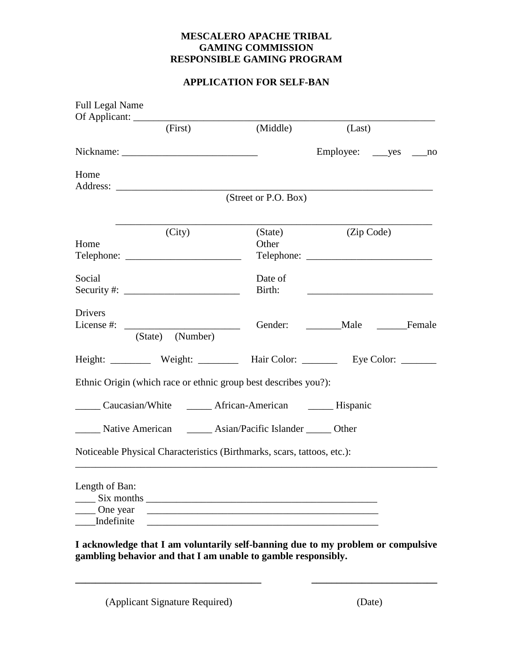## **MESCALERO APACHE TRIBAL GAMING COMMISSION RESPONSIBLE GAMING PROGRAM**

## **APPLICATION FOR SELF-BAN**

| <b>Full Legal Name</b>                                                  |                                                           |                      |                                                                                                                       |    |
|-------------------------------------------------------------------------|-----------------------------------------------------------|----------------------|-----------------------------------------------------------------------------------------------------------------------|----|
|                                                                         | (First)                                                   | (Middle)             | (Last)                                                                                                                |    |
|                                                                         |                                                           |                      |                                                                                                                       | no |
| Home                                                                    |                                                           |                      |                                                                                                                       |    |
|                                                                         |                                                           | (Street or P.O. Box) |                                                                                                                       |    |
| Home                                                                    | (City)                                                    | (State)<br>Other     | (Zip Code)                                                                                                            |    |
| Social                                                                  |                                                           | Date of<br>Birth:    | <u> 1989 - Johann Barn, mars and de Branch Barn, mars and de Branch Barn, mars and de Branch Barn, mars and de Br</u> |    |
| Drivers<br>License #: $\qquad \qquad$                                   | (State) (Number)                                          |                      | Gender: Male Female                                                                                                   |    |
|                                                                         |                                                           |                      | Height: Weight: Weight: Hair Color: _________ Eye Color: ________                                                     |    |
| Ethnic Origin (which race or ethnic group best describes you?):         |                                                           |                      |                                                                                                                       |    |
|                                                                         | Caucasian/White _______ African-American _______ Hispanic |                      |                                                                                                                       |    |
| Native American ________ Asian/Pacific Islander _______ Other           |                                                           |                      |                                                                                                                       |    |
| Noticeable Physical Characteristics (Birthmarks, scars, tattoos, etc.): |                                                           |                      |                                                                                                                       |    |
| Length of Ban:<br>Six months<br>One year<br>Indefinite                  |                                                           |                      |                                                                                                                       |    |

**I acknowledge that I am voluntarily self-banning due to my problem or compulsive gambling behavior and that I am unable to gamble responsibly.**

**\_\_\_\_\_\_\_\_\_\_\_\_\_\_\_\_\_\_\_\_\_\_\_\_\_\_\_\_\_\_\_\_\_\_\_\_\_ \_\_\_\_\_\_\_\_\_\_\_\_\_\_\_\_\_\_\_\_\_\_\_\_\_**

(Applicant Signature Required) (Date)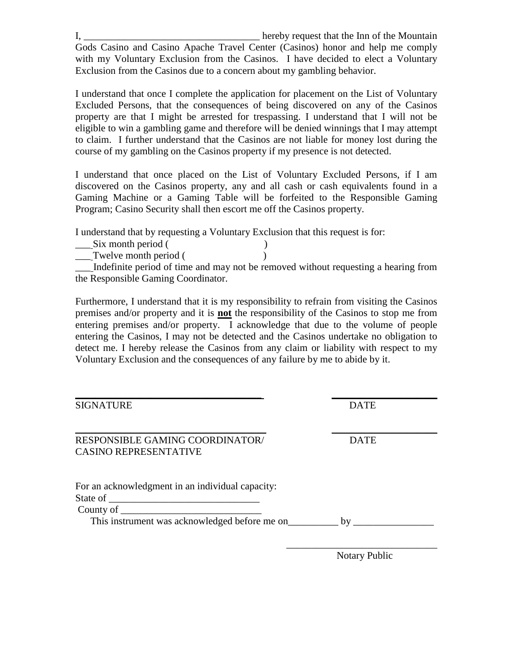I, \_\_\_\_\_\_\_\_\_\_\_\_\_\_\_\_\_\_\_\_\_\_\_\_\_\_\_\_\_\_\_\_\_\_\_ hereby request that the Inn of the Mountain Gods Casino and Casino Apache Travel Center (Casinos) honor and help me comply with my Voluntary Exclusion from the Casinos. I have decided to elect a Voluntary Exclusion from the Casinos due to a concern about my gambling behavior.

I understand that once I complete the application for placement on the List of Voluntary Excluded Persons, that the consequences of being discovered on any of the Casinos property are that I might be arrested for trespassing. I understand that I will not be eligible to win a gambling game and therefore will be denied winnings that I may attempt to claim. I further understand that the Casinos are not liable for money lost during the course of my gambling on the Casinos property if my presence is not detected.

I understand that once placed on the List of Voluntary Excluded Persons, if I am discovered on the Casinos property, any and all cash or cash equivalents found in a Gaming Machine or a Gaming Table will be forfeited to the Responsible Gaming Program; Casino Security shall then escort me off the Casinos property.

I understand that by requesting a Voluntary Exclusion that this request is for:

| Six month period (                  |                                                                                    |
|-------------------------------------|------------------------------------------------------------------------------------|
| Twelve month period (               |                                                                                    |
|                                     | Indefinite period of time and may not be removed without requesting a hearing from |
| the Responsible Gaming Coordinator. |                                                                                    |

Furthermore, I understand that it is my responsibility to refrain from visiting the Casinos premises and/or property and it is **not** the responsibility of the Casinos to stop me from entering premises and/or property. I acknowledge that due to the volume of people entering the Casinos, I may not be detected and the Casinos undertake no obligation to detect me. I hereby release the Casinos from any claim or liability with respect to my Voluntary Exclusion and the consequences of any failure by me to abide by it.

| <b>SIGNATURE</b>                                                | <b>DATE</b> |  |
|-----------------------------------------------------------------|-------------|--|
| RESPONSIBLE GAMING COORDINATOR/<br><b>CASINO REPRESENTATIVE</b> | <b>DATE</b> |  |
| For an acknowledgment in an individual capacity:                |             |  |
| County of $\overline{\phantom{a}}$                              |             |  |
| This instrument was acknowledged before me on                   | $-$ by      |  |

Notary Public